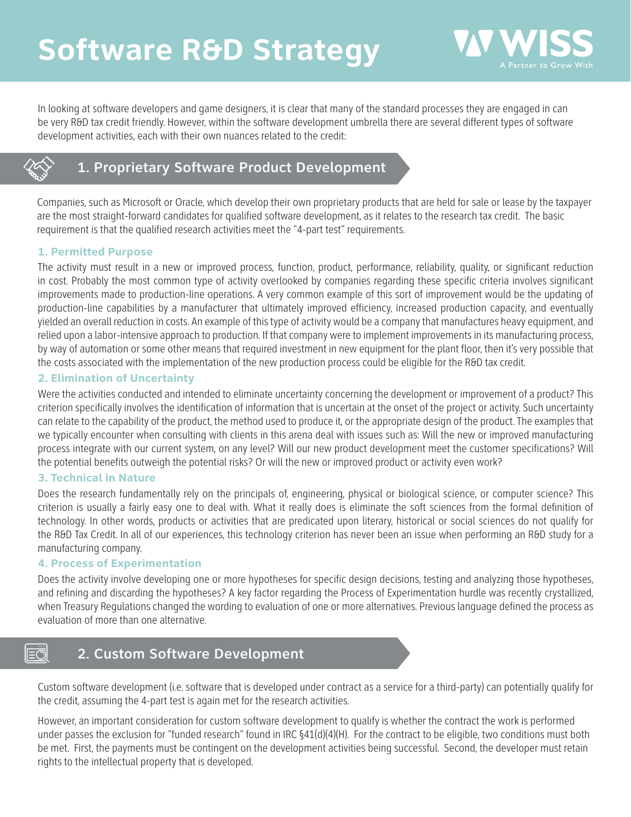

In looking at software developers and game designers, it is clear that many of the standard processes they are engaged in can be very R&D tax credit friendly. However, within the software development umbrella there are several different types of software development activities, each with their own nuances related to the credit:



# 1. Proprietary Software Product Development

Companies, such as Microsoft or Oracle, which develop their own proprietary products that are held for sale or lease by the taxpayer are the most straight-forward candidates for qualified software development, as it relates to the research tax credit. The basic requirement is that the qualified research activities meet the "4-part test" requirements.

## **1. Permitted Purpose**

The activity must result in a new or improved process, function, product, performance, reliability, quality, or significant reduction in cost. Probably the most common type of activity overlooked by companies regarding these specific criteria involves significant improvements made to production-line operations. A very common example of this sort of improvement would be the updating of production-line capabilities by a manufacturer that ultimately improved efficiency, increased production capacity, and eventually yielded an overall reduction in costs. An example of this type of activity would be a company that manufactures heavy equipment, and relied upon a labor-intensive approach to production. If that company were to implement improvements in its manufacturing process, by way of automation or some other means that required investment in new equipment for the plant floor, then it's very possible that the costs associated with the implementation of the new production process could be eligible for the R&D tax credit.

## **2. Elimination of Uncertainty**

Were the activities conducted and intended to eliminate uncertainty concerning the development or improvement of a product? This criterion specifically involves the identification of information that is uncertain at the onset of the project or activity. Such uncertainty can relate to the capability of the product, the method used to produce it, or the appropriate design of the product. The examples that we typically encounter when consulting with clients in this arena deal with issues such as: Will the new or improved manufacturing process integrate with our current system, on any level? Will our new product development meet the customer specifications? Will the potential benefits outweigh the potential risks? Or will the new or improved product or activity even work?

## **3. Technical in Nature**

Does the research fundamentally rely on the principals of, engineering, physical or biological science, or computer science? This criterion is usually a fairly easy one to deal with. What it really does is eliminate the soft sciences from the formal definition of technology. In other words, products or activities that are predicated upon literary, historical or social sciences do not qualify for the R&D Tax Credit. In all of our experiences, this technology criterion has never been an issue when performing an R&D study for a manufacturing company.

## **4. Process of Experimentation**

Does the activity involve developing one or more hypotheses for specific design decisions, testing and analyzing those hypotheses, and refining and discarding the hypotheses? A key factor regarding the Process of Experimentation hurdle was recently crystallized, when Treasury Regulations changed the wording to evaluation of one or more alternatives. Previous language defined the process as evaluation of more than one alternative.

#### $\overline{\equiv} \overline{\ddot{\mathcal{O}}}$ 2. Custom Software Development

Custom software development (i.e. software that is developed under contract as a service for a third-party) can potentially qualify for the credit, assuming the 4-part test is again met for the research activities.

However, an important consideration for custom software development to qualify is whether the contract the work is performed under passes the exclusion for "funded research" found in IRC  $\S41(d)(4)(H)$ . For the contract to be eligible, two conditions must both be met. First, the payments must be contingent on the development activities being successful. Second, the developer must retain rights to the intellectual property that is developed.